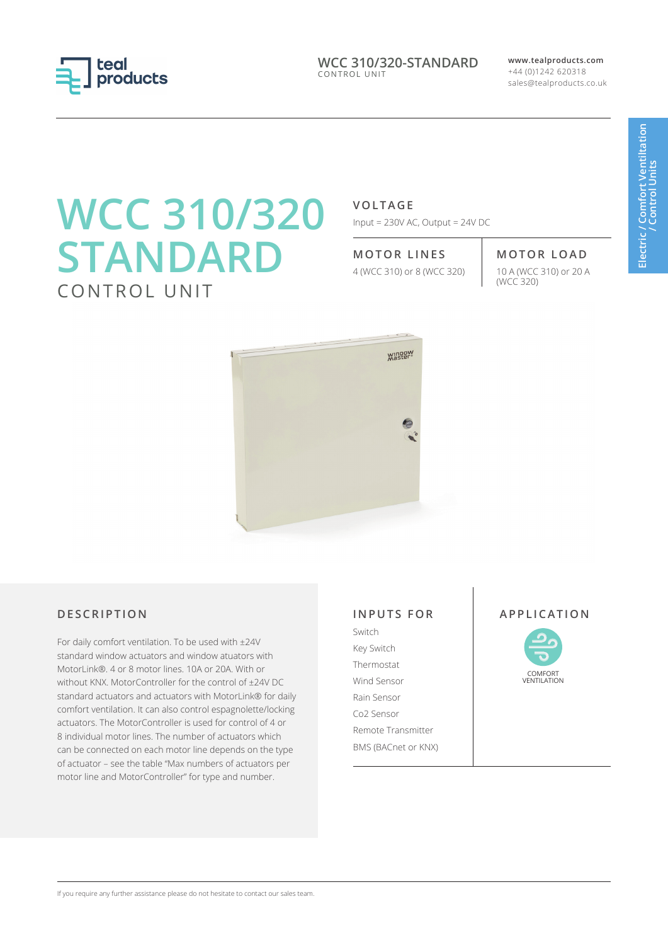

**WCC 310/320-STANDARD** CONTROL UNIT

**www.tealproducts.com** +44 (0)1242 620318 sales@tealproducts.co.uk

# **WCC 310/320 STANDARD** CONTROL UNIT

**VOLTAGE**

Input = 230V AC, Output = 24V DC

**MOTOR LINES MOTOR LOAD**

4 (WCC 310) or 8 (WCC 320)

10 A (WCC 310) or 20 A<br>(WCC 320)



# **DESCRIPTION**

For daily comfort ventilation. To be used with ±24V standard window actuators and window atuators with MotorLink®. 4 or 8 motor lines. 10A or 20A. With or without KNX. MotorController for the control of ±24V DC standard actuators and actuators with MotorLink® for daily comfort ventilation. It can also control espagnolette/locking actuators. The MotorController is used for control of 4 or 8 individual motor lines. The number of actuators which can be connected on each motor line depends on the type of actuator – see the table "Max numbers of actuators per motor line and MotorController" for type and number.

# **INPUTS FOR**

Switch Key Switch Thermostat Wind Sensor Rain Sensor Co2 Sensor Remote Transmitter BMS (BACnet or KNX)

### **APPLICATION**



If you require any further assistance please do not hesitate to contact our sales team.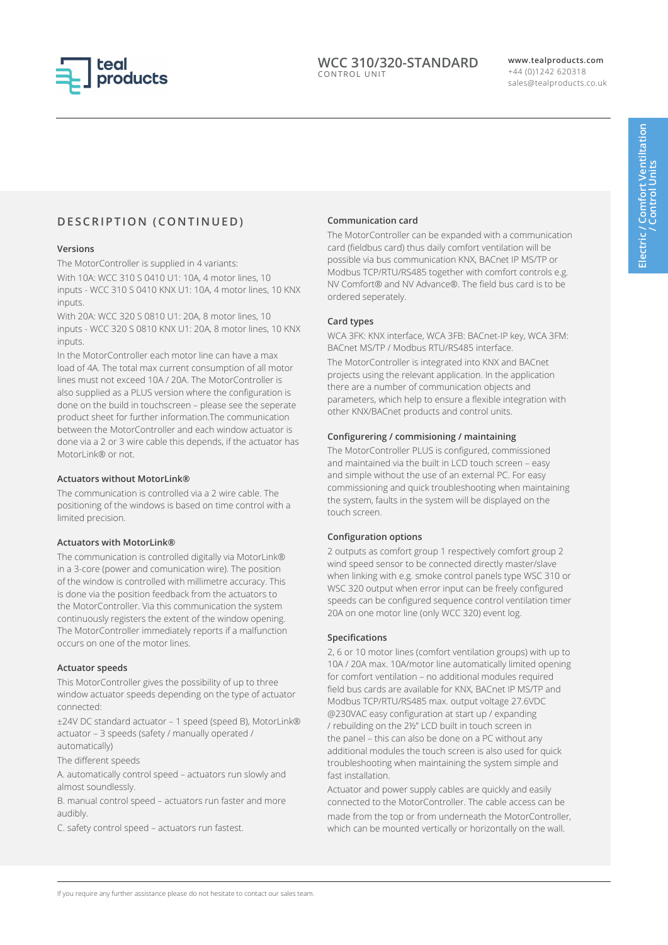

#### **WCC 310/320-STANDARD** CONTROL UNIT

**www.tealproducts.com** +44 (0)1242 620318 sales@tealproducts.co.uk

# **DESCRIPTION (CONTINUED)**

#### **Versions**

The MotorController is supplied in 4 variants:

With 10A: WCC 310 S 0410 U1: 10A, 4 motor lines, 10 inputs - WCC 310 S 0410 KNX U1: 10A, 4 motor lines, 10 KNX inputs.

With 20A: WCC 320 S 0810 U1: 20A, 8 motor lines, 10 inputs - WCC 320 S 0810 KNX U1: 20A, 8 motor lines, 10 KNX inputs.

In the MotorController each motor line can have a max load of 4A. The total max current consumption of all motor lines must not exceed 10A / 20A. The MotorController is also supplied as a PLUS version where the configuration is done on the build in touchscreen – please see the seperate product sheet for further information.The communication between the MotorController and each window actuator is done via a 2 or 3 wire cable this depends, if the actuator has MotorLink® or not.

#### **Actuators without MotorLink®**

The communication is controlled via a 2 wire cable. The positioning of the windows is based on time control with a limited precision.

#### **Actuators with MotorLink®**

The communication is controlled digitally via MotorLink® in a 3-core (power and comunication wire). The position of the window is controlled with millimetre accuracy. This is done via the position feedback from the actuators to the MotorController. Via this communication the system continuously registers the extent of the window opening. The MotorController immediately reports if a malfunction occurs on one of the motor lines.

#### **Actuator speeds**

This MotorController gives the possibility of up to three window actuator speeds depending on the type of actuator connected:

±24V DC standard actuator – 1 speed (speed B), MotorLink® actuator – 3 speeds (safety / manually operated / automatically)

The different speeds

A. automatically control speed – actuators run slowly and almost soundlessly.

B. manual control speed – actuators run faster and more audibly.

C. safety control speed – actuators run fastest.

#### **Communication card**

The MotorController can be expanded with a communication card (fieldbus card) thus daily comfort ventilation will be possible via bus communication KNX, BACnet IP MS/TP or Modbus TCP/RTU/RS485 together with comfort controls e.g. NV Comfort® and NV Advance®. The field bus card is to be ordered seperately.

#### **Card types**

WCA 3FK: KNX interface, WCA 3FB: BACnet-IP key, WCA 3FM: BACnet MS/TP / Modbus RTU/RS485 interface.

The MotorController is integrated into KNX and BACnet projects using the relevant application. In the application there are a number of communication objects and parameters, which help to ensure a flexible integration with other KNX/BACnet products and control units.

#### **Configurering / commisioning / maintaining**

The MotorController PLUS is configured, commissioned and maintained via the built in LCD touch screen – easy and simple without the use of an external PC. For easy commissioning and quick troubleshooting when maintaining the system, faults in the system will be displayed on the touch screen.

#### **Configuration options**

2 outputs as comfort group 1 respectively comfort group 2 wind speed sensor to be connected directly master/slave when linking with e.g. smoke control panels type WSC 310 or WSC 320 output when error input can be freely configured speeds can be configured sequence control ventilation timer 20A on one motor line (only WCC 320) event log.

#### **Specifications**

2, 6 or 10 motor lines (comfort ventilation groups) with up to 10A / 20A max. 10A/motor line automatically limited opening for comfort ventilation – no additional modules required field bus cards are available for KNX, BACnet IP MS/TP and Modbus TCP/RTU/RS485 max. output voltage 27.6VDC @230VAC easy configuration at start up / expanding / rebuilding on the 2½" LCD built in touch screen in the panel – this can also be done on a PC without any additional modules the touch screen is also used for quick troubleshooting when maintaining the system simple and fast installation.

Actuator and power supply cables are quickly and easily connected to the MotorController. The cable access can be made from the top or from underneath the MotorController, which can be mounted vertically or horizontally on the wall.